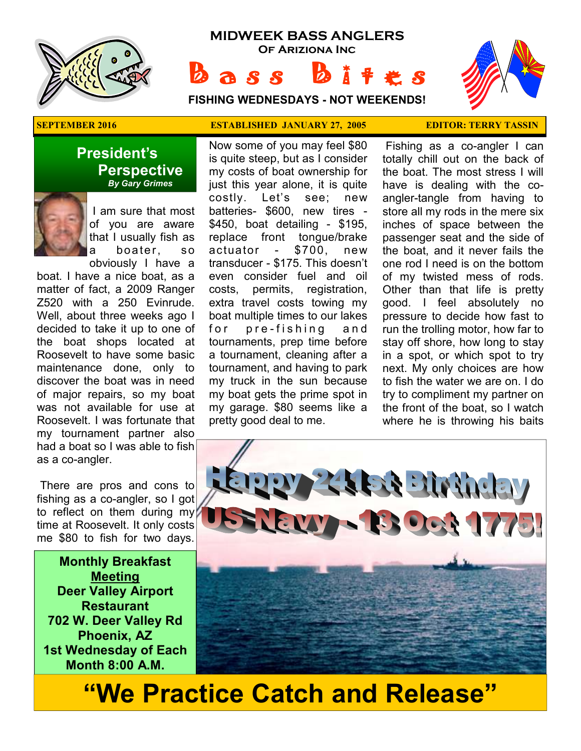

# **MIDWEEK BASS ANGLERS Of Ariziona Inc**

 $b$  ass  $b$ **FISHING WEDNESDAYS - NOT WEEKENDS!**



### **President's Perspective**   *By Gary Grimes*



 I am sure that most of you are aware that I usually fish as a boater, so

obviously I have a boat. I have a nice boat, as a matter of fact, a 2009 Ranger Z520 with a 250 Evinrude. Well, about three weeks ago I decided to take it up to one of the boat shops located at Roosevelt to have some basic maintenance done, only to discover the boat was in need of major repairs, so my boat was not available for use at Roosevelt. I was fortunate that my tournament partner also had a boat so I was able to fish as a co-angler.

 There are pros and cons to fishing as a co-angler, so I got to reflect on them during my time at Roosevelt. It only costs me \$80 to fish for two days.

**Monthly Breakfast Meeting Deer Valley Airport Restaurant 702 W. Deer Valley Rd Phoenix, AZ 1st Wednesday of Each Month 8:00 A.M.** 

#### **SEPTEMBER 2016 ESTABLISHED JANUARY 27, 2005 EDITOR: TERRY TASSIN**

Now some of you may feel \$80 is quite steep, but as I consider my costs of boat ownership for just this year alone, it is quite costly. Let's see; new batteries- \$600, new tires - \$450, boat detailing - \$195, replace front tongue/brake actuator - \$700, new transducer - \$175. This doesn't even consider fuel and oil costs, permits, registration, extra travel costs towing my boat multiple times to our lakes for pre-fishing and tournaments, prep time before a tournament, cleaning after a tournament, and having to park my truck in the sun because my boat gets the prime spot in my garage. \$80 seems like a pretty good deal to me.

 Fishing as a co-angler I can totally chill out on the back of the boat. The most stress I will have is dealing with the coangler-tangle from having to store all my rods in the mere six inches of space between the passenger seat and the side of the boat, and it never fails the one rod I need is on the bottom of my twisted mess of rods. Other than that life is pretty good. I feel absolutely no pressure to decide how fast to run the trolling motor, how far to stay off shore, how long to stay in a spot, or which spot to try next. My only choices are how to fish the water we are on. I do try to compliment my partner on the front of the boat, so I watch where he is throwing his baits



# **"We Practice Catch and Release"**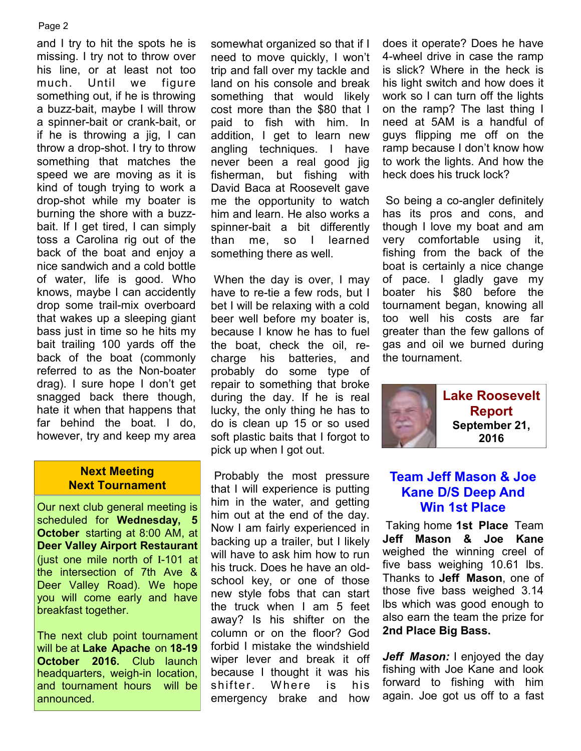#### Page 2

and I try to hit the spots he is missing. I try not to throw over his line, or at least not too much. Until we figure something out, if he is throwing a buzz-bait, maybe I will throw a spinner-bait or crank-bait, or if he is throwing a jig, I can throw a drop-shot. I try to throw something that matches the speed we are moving as it is kind of tough trying to work a drop-shot while my boater is burning the shore with a buzzbait. If I get tired, I can simply toss a Carolina rig out of the back of the boat and enjoy a nice sandwich and a cold bottle of water, life is good. Who knows, maybe I can accidently drop some trail-mix overboard that wakes up a sleeping giant bass just in time so he hits my bait trailing 100 yards off the back of the boat (commonly referred to as the Non-boater drag). I sure hope I don't get snagged back there though, hate it when that happens that far behind the boat. I do, however, try and keep my area

#### **Next Meeting Next Tournament**

Our next club general meeting is scheduled for **Wednesday, 5 October** starting at 8:00 AM, at **Deer Valley Airport Restaurant**  (just one mile north of I-101 at the intersection of 7th Ave & Deer Valley Road). We hope you will come early and have breakfast together.

The next club point tournament will be at **Lake Apache** on **18-19 October 2016.** Club launch headquarters, weigh-in location, and tournament hours will be announced.

somewhat organized so that if I need to move quickly, I won't trip and fall over my tackle and land on his console and break something that would likely cost more than the \$80 that I paid to fish with him. In addition, I get to learn new angling techniques. I have never been a real good jig fisherman, but fishing with David Baca at Roosevelt gave me the opportunity to watch him and learn. He also works a spinner-bait a bit differently than me, so I learned something there as well.

 When the day is over, I may have to re-tie a few rods, but I bet I will be relaxing with a cold beer well before my boater is, because I know he has to fuel the boat, check the oil, recharge his batteries, and probably do some type of repair to something that broke during the day. If he is real lucky, the only thing he has to do is clean up 15 or so used soft plastic baits that I forgot to pick up when I got out.

 Probably the most pressure that I will experience is putting him in the water, and getting him out at the end of the day. Now I am fairly experienced in backing up a trailer, but I likely will have to ask him how to run his truck. Does he have an oldschool key, or one of those new style fobs that can start the truck when I am 5 feet away? Is his shifter on the column or on the floor? God forbid I mistake the windshield wiper lever and break it off because I thought it was his shifter. W here is his emergency brake and how

does it operate? Does he have 4-wheel drive in case the ramp is slick? Where in the heck is his light switch and how does it work so I can turn off the lights on the ramp? The last thing I need at 5AM is a handful of guys flipping me off on the ramp because I don't know how to work the lights. And how the heck does his truck lock?

 So being a co-angler definitely has its pros and cons, and though I love my boat and am very comfortable using it, fishing from the back of the boat is certainly a nice change of pace. I gladly gave my boater his \$80 before the tournament began, knowing all too well his costs are far greater than the few gallons of gas and oil we burned during the tournament.



# **Team Jeff Mason & Joe Kane D/S Deep And Win 1st Place**

 Taking home **1st Place** Team **Jeff Mason & Joe Kane**  weighed the winning creel of five bass weighing 10.61 lbs. Thanks to **Jeff Mason**, one of those five bass weighed 3.14 lbs which was good enough to also earn the team the prize for **2nd Place Big Bass.** 

*Jeff Mason:* I enjoyed the day fishing with Joe Kane and look forward to fishing with him again. Joe got us off to a fast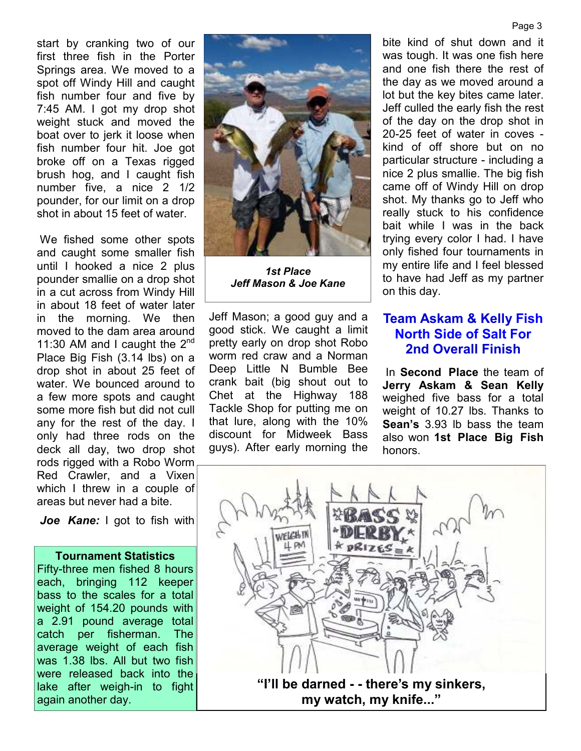start by cranking two of our first three fish in the Porter Springs area. We moved to a spot off Windy Hill and caught fish number four and five by 7:45 AM. I got my drop shot weight stuck and moved the boat over to jerk it loose when fish number four hit. Joe got broke off on a Texas rigged brush hog, and I caught fish number five, a nice 2 1/2 pounder, for our limit on a drop shot in about 15 feet of water.

 We fished some other spots and caught some smaller fish until I hooked a nice 2 plus pounder smallie on a drop shot in a cut across from Windy Hill in about 18 feet of water later in the morning. We then moved to the dam area around 11:30 AM and I caught the  $2^{nd}$ Place Big Fish (3.14 lbs) on a drop shot in about 25 feet of water. We bounced around to a few more spots and caught some more fish but did not cull any for the rest of the day. I only had three rods on the deck all day, two drop shot rods rigged with a Robo Worm Red Crawler, and a Vixen which I threw in a couple of areas but never had a bite.

*Joe Kane:* I got to fish with

#### **Tournament Statistics**

Fifty-three men fished 8 hours each, bringing 112 keeper bass to the scales for a total weight of 154.20 pounds with a 2.91 pound average total catch per fisherman. The average weight of each fish was 1.38 lbs. All but two fish were released back into the lake after weigh-in to fight again another day.



*1st Place Jeff Mason & Joe Kane* 

Jeff Mason; a good guy and a good stick. We caught a limit pretty early on drop shot Robo worm red craw and a Norman Deep Little N Bumble Bee crank bait (big shout out to Chet at the Highway 188 Tackle Shop for putting me on that lure, along with the 10% discount for Midweek Bass guys). After early morning the

bite kind of shut down and it was tough. It was one fish here and one fish there the rest of the day as we moved around a lot but the key bites came later. Jeff culled the early fish the rest of the day on the drop shot in 20-25 feet of water in coves kind of off shore but on no particular structure - including a nice 2 plus smallie. The big fish came off of Windy Hill on drop shot. My thanks go to Jeff who really stuck to his confidence bait while I was in the back trying every color I had. I have only fished four tournaments in my entire life and I feel blessed to have had Jeff as my partner on this day.

## **Team Askam & Kelly Fish North Side of Salt For 2nd Overall Finish**

 In **Second Place** the team of **Jerry Askam & Sean Kelly**  weighed five bass for a total weight of 10.27 lbs. Thanks to **Sean's** 3.93 lb bass the team also won **1st Place Big Fish**  honors.



#### Page 3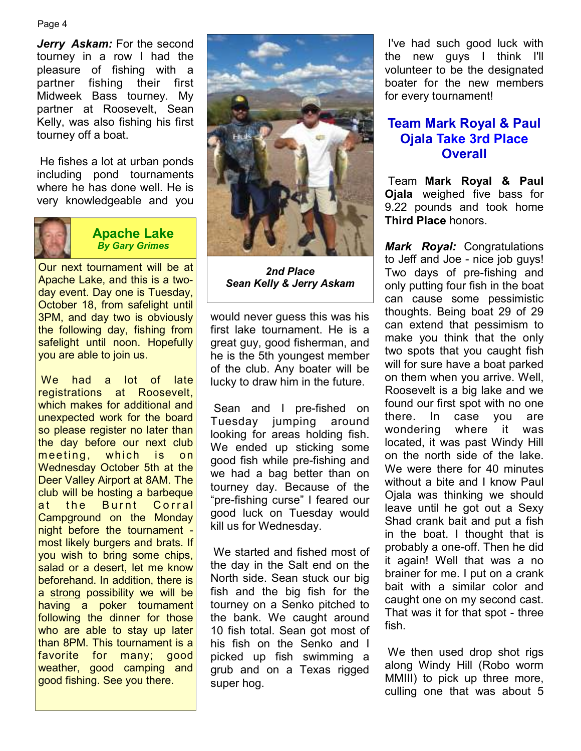#### Page 4

*Jerry Askam:* For the second tourney in a row I had the pleasure of fishing with a partner fishing their first Midweek Bass tourney. My partner at Roosevelt, Sean Kelly, was also fishing his first tourney off a boat.

 He fishes a lot at urban ponds including pond tournaments where he has done well. He is very knowledgeable and you



### **Apache Lake**  *By Gary Grimes*

Our next tournament will be at Apache Lake, and this is a twoday event. Day one is Tuesday, October 18, from safelight until 3PM, and day two is obviously the following day, fishing from safelight until noon. Hopefully you are able to join us.

 We had a lot of late registrations at Roosevelt, which makes for additional and unexpected work for the board so please register no later than the day before our next club meeting, which is on Wednesday October 5th at the Deer Valley Airport at 8AM. The club will be hosting a barbeque at the Burnt Corral Campground on the Monday night before the tournament most likely burgers and brats. If you wish to bring some chips, salad or a desert, let me know beforehand. In addition, there is a strong possibility we will be having a poker tournament following the dinner for those who are able to stay up later than 8PM. This tournament is a favorite for many; good weather, good camping and good fishing. See you there.



*2nd Place Sean Kelly & Jerry Askam* 

would never guess this was his first lake tournament. He is a great guy, good fisherman, and he is the 5th youngest member of the club. Any boater will be lucky to draw him in the future.

 Sean and I pre-fished on Tuesday jumping around looking for areas holding fish. We ended up sticking some good fish while pre-fishing and we had a bag better than on tourney day. Because of the "pre-fishing curse" I feared our good luck on Tuesday would kill us for Wednesday.

 We started and fished most of the day in the Salt end on the North side. Sean stuck our big fish and the big fish for the tourney on a Senko pitched to the bank. We caught around 10 fish total. Sean got most of his fish on the Senko and I picked up fish swimming a grub and on a Texas rigged super hog.

 I've had such good luck with the new guys I think I'll volunteer to be the designated boater for the new members for every tournament!

## **Team Mark Royal & Paul Ojala Take 3rd Place Overall**

 Team **Mark Royal & Paul Ojala** weighed five bass for 9.22 pounds and took home **Third Place** honors.

*Mark Royal:* Congratulations to Jeff and Joe - nice job guys! Two days of pre-fishing and only putting four fish in the boat can cause some pessimistic thoughts. Being boat 29 of 29 can extend that pessimism to make you think that the only two spots that you caught fish will for sure have a boat parked on them when you arrive. Well, Roosevelt is a big lake and we found our first spot with no one there. In case you are wondering where it was located, it was past Windy Hill on the north side of the lake. We were there for 40 minutes without a bite and I know Paul Ojala was thinking we should leave until he got out a Sexy Shad crank bait and put a fish in the boat. I thought that is probably a one-off. Then he did it again! Well that was a no brainer for me. I put on a crank bait with a similar color and caught one on my second cast. That was it for that spot - three fish.

 We then used drop shot rigs along Windy Hill (Robo worm MMIII) to pick up three more, culling one that was about 5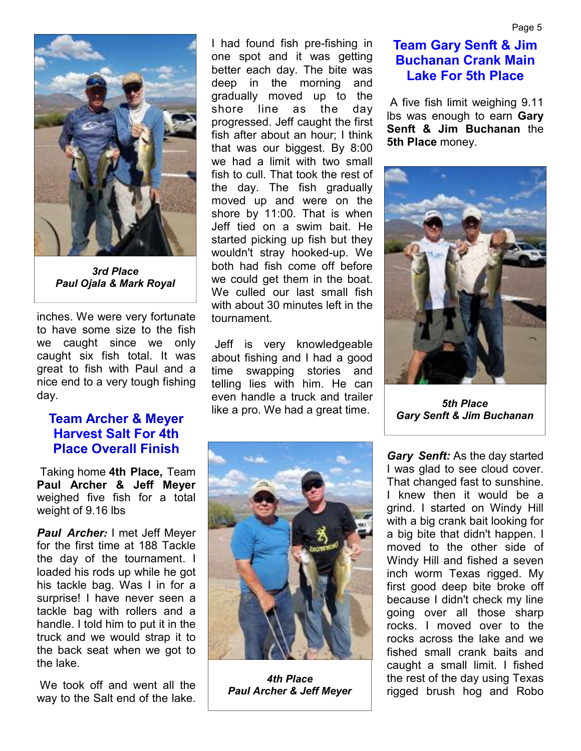

*3rd Place Paul Ojala & Mark Royal* 

inches. We were very fortunate to have some size to the fish we caught since we only caught six fish total. It was great to fish with Paul and a nice end to a very tough fishing day.

# **Team Archer & Meyer Harvest Salt For 4th Place Overall Finish**

 Taking home **4th Place,** Team **Paul Archer & Jeff Meyer**  weighed five fish for a total weight of 9.16 lbs

*Paul Archer:* I met Jeff Meyer for the first time at 188 Tackle the day of the tournament. I loaded his rods up while he got his tackle bag. Was I in for a surprise! I have never seen a tackle bag with rollers and a handle. I told him to put it in the truck and we would strap it to the back seat when we got to the lake.

 We took off and went all the way to the Salt end of the lake. I had found fish pre-fishing in one spot and it was getting better each day. The bite was deep in the morning and gradually moved up to the shore line as the day progressed. Jeff caught the first fish after about an hour; I think that was our biggest. By 8:00 we had a limit with two small fish to cull. That took the rest of the day. The fish gradually moved up and were on the shore by 11:00. That is when Jeff tied on a swim bait. He started picking up fish but they wouldn't stray hooked-up. We both had fish come off before we could get them in the boat. We culled our last small fish with about 30 minutes left in the tournament.

 Jeff is very knowledgeable about fishing and I had a good time swapping stories and telling lies with him. He can even handle a truck and trailer like a pro. We had a great time.



*4th Place Paul Archer & Jeff Meyer* 

 A five fish limit weighing 9.11 lbs was enough to earn **Gary Senft & Jim Buchanan** the **5th Place** money.



*5th Place Gary Senft & Jim Buchanan* 

*Gary Senft:* As the day started I was glad to see cloud cover. That changed fast to sunshine. I knew then it would be a grind. I started on Windy Hill with a big crank bait looking for a big bite that didn't happen. I moved to the other side of Windy Hill and fished a seven inch worm Texas rigged. My first good deep bite broke off because I didn't check my line going over all those sharp rocks. I moved over to the rocks across the lake and we fished small crank baits and caught a small limit. I fished the rest of the day using Texas rigged brush hog and Robo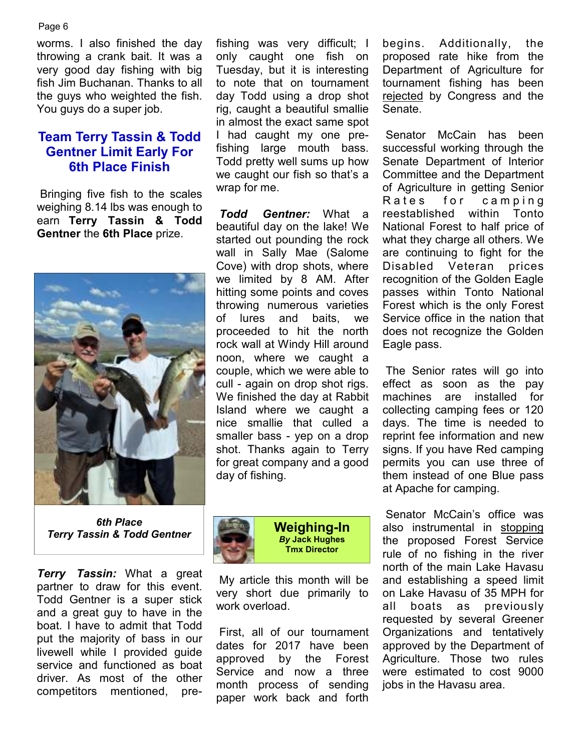Page 6

worms. I also finished the day throwing a crank bait. It was a very good day fishing with big fish Jim Buchanan. Thanks to all the guys who weighted the fish. You guys do a super job.

# **Team Terry Tassin & Todd Gentner Limit Early For 6th Place Finish**

 Bringing five fish to the scales weighing 8.14 lbs was enough to earn **Terry Tassin & Todd Gentner** the **6th Place** prize.



*6th Place Terry Tassin & Todd Gentner* 

*Terry Tassin:* What a great partner to draw for this event. Todd Gentner is a super stick and a great guy to have in the boat. I have to admit that Todd put the majority of bass in our livewell while I provided guide service and functioned as boat driver. As most of the other competitors mentioned, pre-

fishing was very difficult; I only caught one fish on Tuesday, but it is interesting to note that on tournament day Todd using a drop shot rig, caught a beautiful smallie in almost the exact same spot I had caught my one prefishing large mouth bass. Todd pretty well sums up how we caught our fish so that's a wrap for me.

*Todd Gentner:* What a beautiful day on the lake! We started out pounding the rock wall in Sally Mae (Salome Cove) with drop shots, where we limited by 8 AM. After hitting some points and coves throwing numerous varieties of lures and baits, we proceeded to hit the north rock wall at Windy Hill around noon, where we caught a couple, which we were able to cull - again on drop shot rigs. We finished the day at Rabbit Island where we caught a nice smallie that culled a smaller bass - yep on a drop shot. Thanks again to Terry for great company and a good day of fishing.



**Weighing-In**  *By* **Jack Hughes Tmx Director**

 My article this month will be very short due primarily to work overload.

 First, all of our tournament dates for 2017 have been approved by the Forest Service and now a three month process of sending paper work back and forth

begins. Additionally, the proposed rate hike from the Department of Agriculture for tournament fishing has been rejected by Congress and the Senate.

 Senator McCain has been successful working through the Senate Department of Interior Committee and the Department of Agriculture in getting Senior Rates for camping reestablished within Tonto National Forest to half price of what they charge all others. We are continuing to fight for the Disabled Veteran prices recognition of the Golden Eagle passes within Tonto National Forest which is the only Forest Service office in the nation that does not recognize the Golden Eagle pass.

 The Senior rates will go into effect as soon as the pay machines are installed for collecting camping fees or 120 days. The time is needed to reprint fee information and new signs. If you have Red camping permits you can use three of them instead of one Blue pass at Apache for camping.

 Senator McCain's office was also instrumental in stopping the proposed Forest Service rule of no fishing in the river north of the main Lake Havasu and establishing a speed limit on Lake Havasu of 35 MPH for all boats as previously requested by several Greener Organizations and tentatively approved by the Department of Agriculture. Those two rules were estimated to cost 9000 jobs in the Havasu area.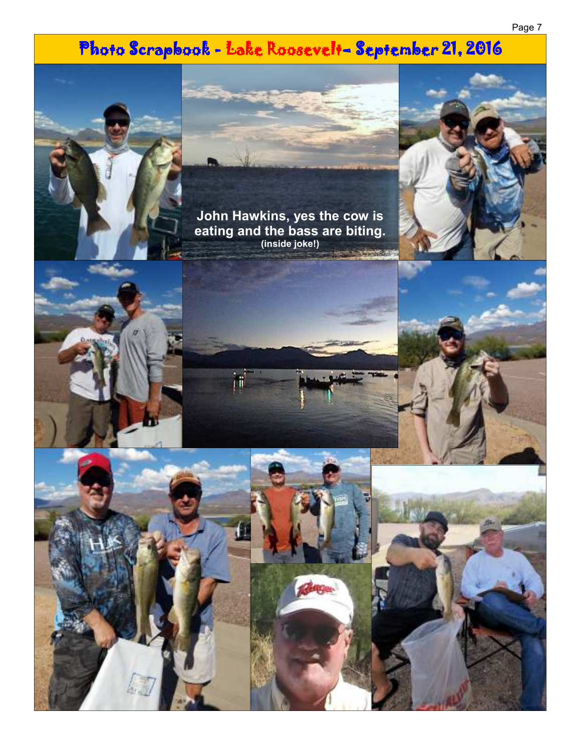# Photo Scrapbook - Lake Roosevelt- September 21, 2016